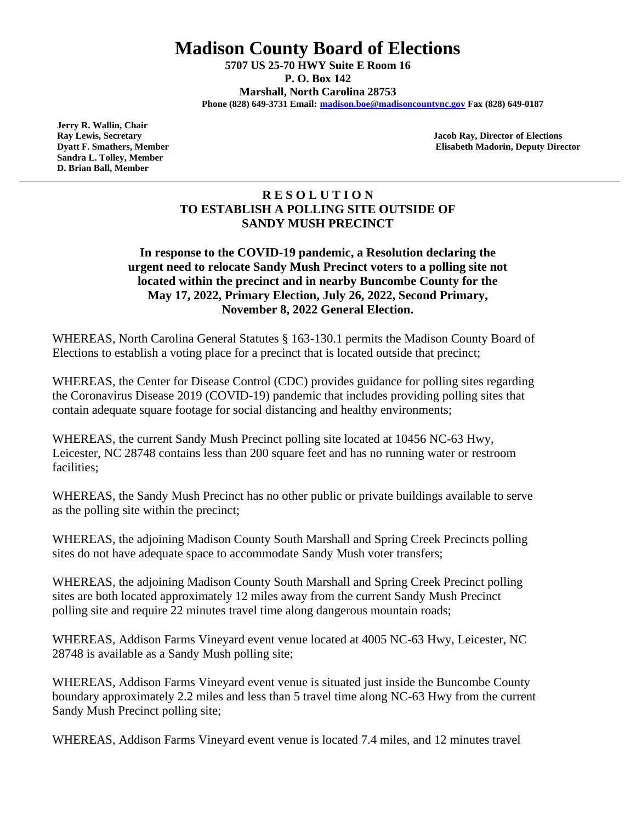**Madison County Board of Elections**

**5707 US 25-70 HWY Suite E Room 16 P. O. Box 142 Marshall, North Carolina 28753 Phone (828) 649-3731 Email: [madison.boe@madisoncountync.gov](mailto:madison.boe@madisoncountync.gov) Fax (828) 649-0187**

 **Jerry R. Wallin, Chair Sandra L. Tolley, Member D. Brian Ball, Member** 

 **Ray Lewis, Secretary Jacob Ray, Director of Elections Dyatt F. Smathers, Member Elisabeth Madorin, Deputy Director** 

## **R E S O L U T I O N TO ESTABLISH A POLLING SITE OUTSIDE OF SANDY MUSH PRECINCT**

## **In response to the COVID-19 pandemic, a Resolution declaring the urgent need to relocate Sandy Mush Precinct voters to a polling site not located within the precinct and in nearby Buncombe County for the May 17, 2022, Primary Election, July 26, 2022, Second Primary, November 8, 2022 General Election.**

WHEREAS, North Carolina General Statutes § 163-130.1 permits the Madison County Board of Elections to establish a voting place for a precinct that is located outside that precinct;

WHEREAS, the Center for Disease Control (CDC) provides guidance for polling sites regarding the Coronavirus Disease 2019 (COVID-19) pandemic that includes providing polling sites that contain adequate square footage for social distancing and healthy environments;

WHEREAS, the current Sandy Mush Precinct polling site located at 10456 NC-63 Hwy, Leicester, NC 28748 contains less than 200 square feet and has no running water or restroom facilities;

WHEREAS, the Sandy Mush Precinct has no other public or private buildings available to serve as the polling site within the precinct;

WHEREAS, the adjoining Madison County South Marshall and Spring Creek Precincts polling sites do not have adequate space to accommodate Sandy Mush voter transfers;

WHEREAS, the adjoining Madison County South Marshall and Spring Creek Precinct polling sites are both located approximately 12 miles away from the current Sandy Mush Precinct polling site and require 22 minutes travel time along dangerous mountain roads;

WHEREAS, Addison Farms Vineyard event venue located at 4005 NC-63 Hwy, Leicester, NC 28748 is available as a Sandy Mush polling site;

WHEREAS, Addison Farms Vineyard event venue is situated just inside the Buncombe County boundary approximately 2.2 miles and less than 5 travel time along NC-63 Hwy from the current Sandy Mush Precinct polling site;

WHEREAS, Addison Farms Vineyard event venue is located 7.4 miles, and 12 minutes travel